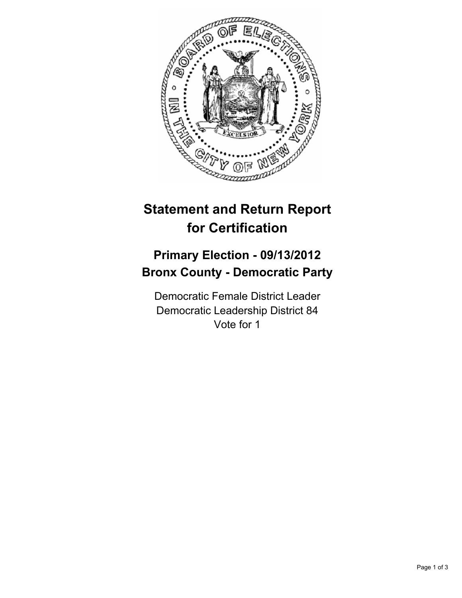

## **Statement and Return Report for Certification**

## **Primary Election - 09/13/2012 Bronx County - Democratic Party**

Democratic Female District Leader Democratic Leadership District 84 Vote for 1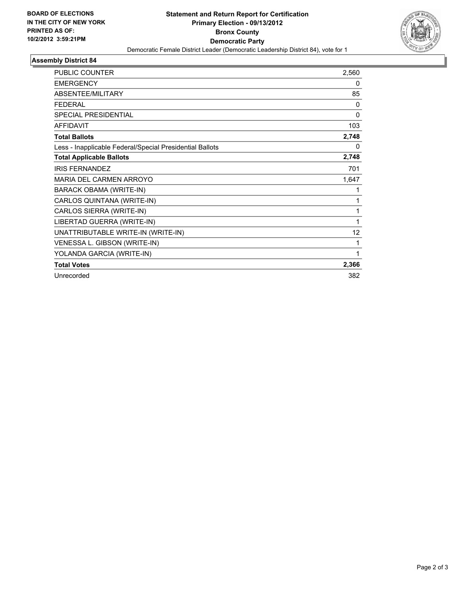

## **Assembly District 84**

| <b>PUBLIC COUNTER</b>                                    | 2,560        |
|----------------------------------------------------------|--------------|
| <b>EMERGENCY</b>                                         | 0            |
| ABSENTEE/MILITARY                                        | 85           |
| <b>FEDERAL</b>                                           | $\Omega$     |
| <b>SPECIAL PRESIDENTIAL</b>                              | $\mathbf{0}$ |
| <b>AFFIDAVIT</b>                                         | 103          |
| <b>Total Ballots</b>                                     | 2,748        |
| Less - Inapplicable Federal/Special Presidential Ballots | 0            |
| <b>Total Applicable Ballots</b>                          | 2,748        |
| <b>IRIS FERNANDEZ</b>                                    | 701          |
| <b>MARIA DEL CARMEN ARROYO</b>                           | 1,647        |
| BARACK OBAMA (WRITE-IN)                                  | 1            |
| CARLOS QUINTANA (WRITE-IN)                               | 1            |
| CARLOS SIERRA (WRITE-IN)                                 | 1            |
| LIBERTAD GUERRA (WRITE-IN)                               | 1            |
| UNATTRIBUTABLE WRITE-IN (WRITE-IN)                       | 12           |
| VENESSA L. GIBSON (WRITE-IN)                             | 1            |
| YOLANDA GARCIA (WRITE-IN)                                | 1            |
| <b>Total Votes</b>                                       | 2,366        |
| Unrecorded                                               | 382          |